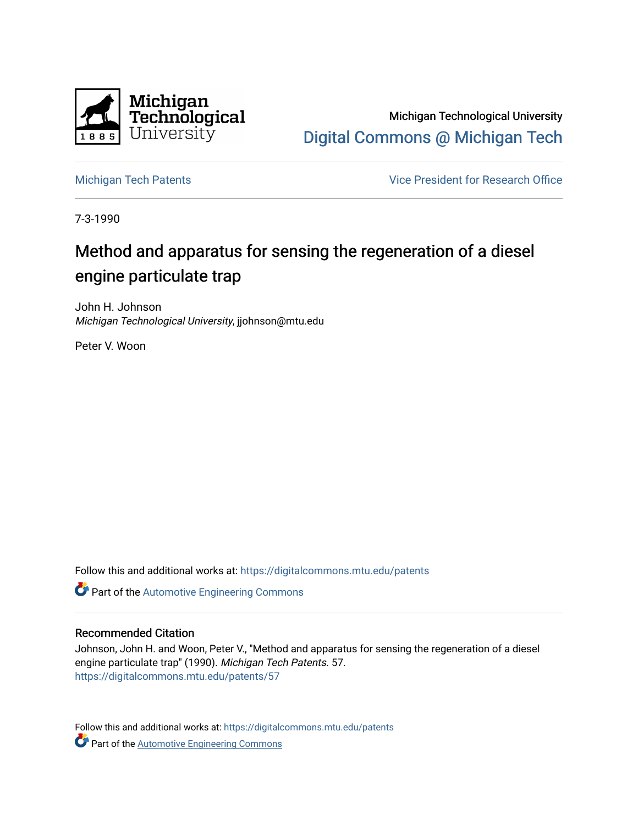

Michigan Technological University [Digital Commons @ Michigan Tech](https://digitalcommons.mtu.edu/) 

[Michigan Tech Patents](https://digitalcommons.mtu.edu/patents) **Vice President for Research Office** 

7-3-1990

# Method and apparatus for sensing the regeneration of a diesel engine particulate trap

John H. Johnson Michigan Technological University, jjohnson@mtu.edu

Peter V. Woon

Follow this and additional works at: [https://digitalcommons.mtu.edu/patents](https://digitalcommons.mtu.edu/patents?utm_source=digitalcommons.mtu.edu%2Fpatents%2F57&utm_medium=PDF&utm_campaign=PDFCoverPages)

**Part of the Automotive Engineering Commons** 

# Recommended Citation

Johnson, John H. and Woon, Peter V., "Method and apparatus for sensing the regeneration of a diesel engine particulate trap" (1990). Michigan Tech Patents. 57. [https://digitalcommons.mtu.edu/patents/57](https://digitalcommons.mtu.edu/patents/57?utm_source=digitalcommons.mtu.edu%2Fpatents%2F57&utm_medium=PDF&utm_campaign=PDFCoverPages) 

Follow this and additional works at: [https://digitalcommons.mtu.edu/patents](https://digitalcommons.mtu.edu/patents?utm_source=digitalcommons.mtu.edu%2Fpatents%2F57&utm_medium=PDF&utm_campaign=PDFCoverPages) **Part of the Automotive Engineering Commons**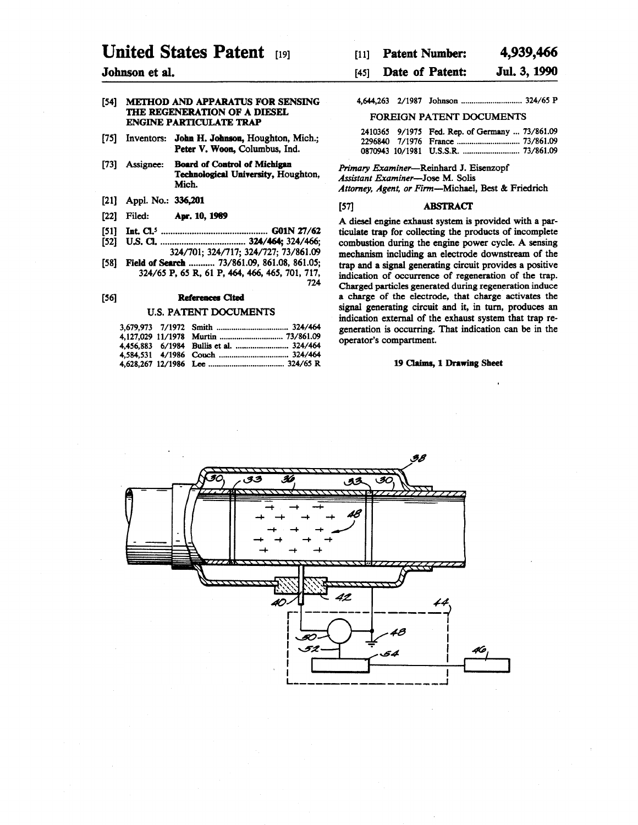# **United States Patent**

## [54] METHOD AND APPARATUS FOR SENSING THE REGENERATION OF A DIESEL ENGINE PARTICULATE TRAP

- [75] Inventors: John H. Johnson, Houghton, Mich.; Peter V. Woon, Columbus, Ind.
- [73] Assignee: Board of Control of Michigan Technological University, Houghton, Mich.
- [21] Appl. No.: 336,201
- [22] Filed: Apr. 10,1989
- [51] In t CL5 .............................................G01N 27/62
- [52] UJS.CL.................................... 324/464; 324/466; 324/701; 324/717; 324/727; 73/861.09
- [58] Field of Search ........... 73/861.09, 861.08, 861.05; 324/65 P, 65 R, 61 P, 464, 466, 465, 701, 717,

# [56] References Cited

#### U.S. PATENT DOCUMENTS

| <b>Patent Number:</b><br>$[11]$ | 4,939,466 |
|---------------------------------|-----------|
|---------------------------------|-----------|

# **Johnson et al.** [45] **Date of Patent: Jul. 3, 1990**

# 4,644,263 2/1987 Jo h n so n ............................... 324/65 P FOREIGN PATENT DOCUMENTS

|  | 2410365 9/1975 Fed. Rep. of Germany  73/861.09 |  |
|--|------------------------------------------------|--|
|  |                                                |  |
|  |                                                |  |

*Primary Examiner*—Reinhard J. Eisenzopf *Assistant Examiner*—Jose M. Solis

*Attorney, Agent, or Firm*—Michael, Best & Friedrich

# [57] ABSTRACT

A diesel engine exhaust system is provided with a particulate trap for collecting the products of incomplete combustion during the engine power cycle. A sensing mechanism including an electrode downstream of the trap and a signal generating circuit provides a positive indication of occurrence of regeneration of the trap. Charged particles generated during regeneration induce a charge of the electrode, that charge activates the signal generating circuit and it, in turn, produces an indication external of the exhaust system that trap regeneration is occurring. That indication can be in the operator's compartment.

### 19 Claims, 1 Drawing Sheet



724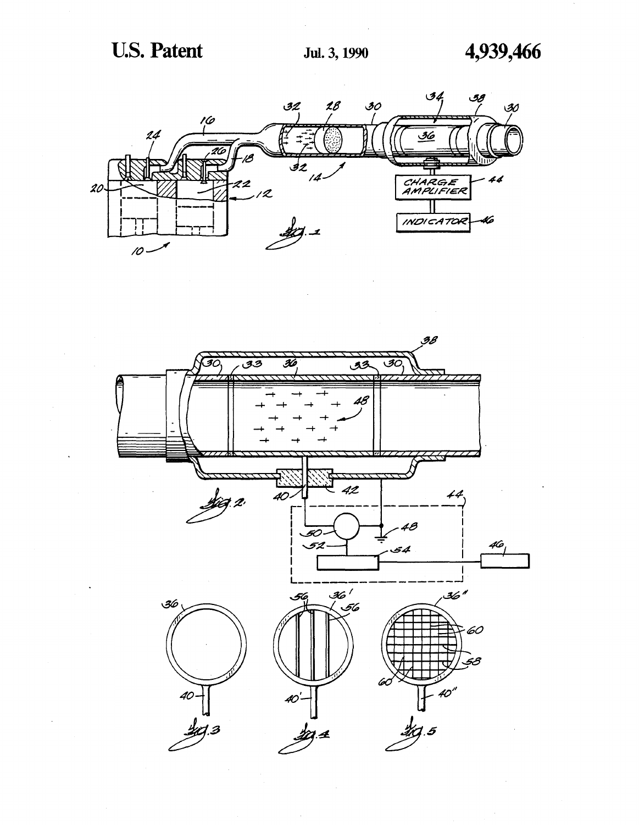

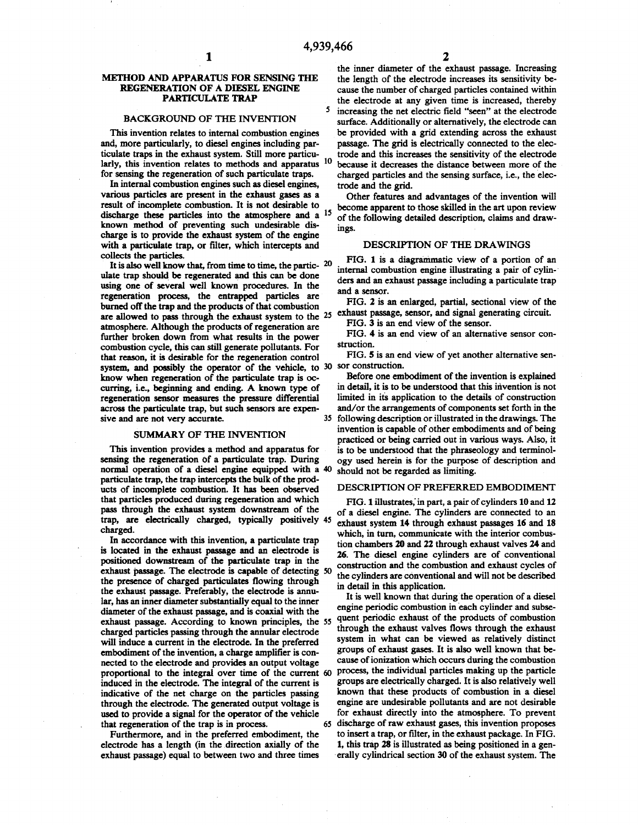5

## METHOD AND APPARATUS FOR SENSING THE REGENERATION OF A DIESEL ENGINE PARTICULATE TRAP

#### BACKGROUND OF THE INVENTION

This invention relates to internal combustion engines and, more particularly, to diesel engines including particulate traps in the exhaust system. Still more particularly, this invention relates to methods and apparatus <sup>10</sup> for sensing the regeneration of such particulate traps.

In internal combustion engines such as diesel engines, various particles are present in the exhaust gases as a result of incomplete combustion. It is not desirable to discharge these particles into the atmosphere and a <sup>15</sup> known method of preventing such undesirable discharge is to provide the exhaust system of the engine with a particulate trap, or filter, which intercepts and collects the particles.

It is also well know that, from time to time, the partic-**20** ulate trap should be regenerated and this can be done using one of several well known procedures. In the regeneration process, the entrapped particles are burned off the trap and the products of that combustion are allowed to pass through the exhaust system to the <sup>25</sup> atmosphere. Although the products of regeneration are further broken down from what results in the power combustion cycle, this can still generate pollutants. For that reason, it is desirable for the regeneration control system, and possibly the operator of the vehicle, to 30 sor construction. know when regeneration of the particulate trap is occurring, i.e., beginning and ending. A known type of regeneration sensor measures the pressure differential across the particulate trap, but such sensors are expensive and are not very accurate. 35

#### SUMMARY OF THE INVENTION

This invention provides a method and apparatus for sensing the regeneration of a particulate trap. During normal operation of a diesel engine equipped with a 40 particulate trap, the trap intercepts the bulk of the products of incomplete combustion. It has been observed that particles produced during regeneration and which pass through the exhaust system downstream of the trap, are electrically charged, typically positively 45 charged.

In accordance with this invention, a particulate trap is located in the exhaust passage and an electrode is positioned downstream of the particulate trap in the exhaust passage. The electrode is capable of detecting 50 the presence of charged particulates flowing through the exhaust passage. Preferably, the electrode is annular, has an inner diameter substantially equal to the inner diameter of the exhaust passage, and is coaxial with the exhaust passage. According to known principles, the 55 charged particles passing through the annular electrode will induce a current in the electrode. In the preferred embodiment of the invention, a charge amplifier is connected to the electrode and provides an output voltage proportional to the integral over time of the current 60 induced in the electrode. The integral of the current is indicative of the net charge on the particles passing through the electrode. The generated output voltage is used to provide a signal for the operator of the vehicle that regeneration of the trap is in process. 65

Furthermore, and in the preferred embodiment, the electrode has a length (in the direction axially of the exhaust passage) equal to between two and three times

the inner diameter of the exhaust passage. Increasing the length of the electrode increases its sensitivity because the number of charged particles contained within the electrode at any given time is increased, thereby increasing the net electric field "seen" at the electrode surface. Additionally or alternatively, the electrode can be provided with a grid extending across the exhaust passage. The grid is electrically connected to the electrode and this increases the sensitivity of the electrode because it decreases the distance between more of the charged particles and the sensing surface, i.e., the electrode and the grid.

Other features and advantages of the invention will become apparent to those skilled in the art upon review of the following detailed description, claims and drawings.

### DESCRIPTION OF THE DRAWINGS

FIG. 1 is a diagrammatic view of a portion of an internal combustion engine illustrating a pair of cylinders and an exhaust passage including a particulate trap and a sensor.

FIG. 2 is an enlarged, partial, sectional view of the exhaust passage, sensor, and signal generating circuit.

FIG. 3 is an end view of the sensor.

FIG. 4 is an end view of an alternative sensor construction.

FIG. 5 is an end view of yet another alternative sen-

Before one embodiment of the invention is explained in detail, it is to be understood that this invention is not limited in its application to the details of construction and/or the arrangements of components set forth in the following description or illustrated in the drawings. The invention is capable of other embodiments and of being practiced or being carried out in various ways. Also, it is to be understood that the phraseology and terminology used herein is for the purpose of description and should not be regarded as limiting.

# DESCRIPTION OF PREFERRED EMBODIMENT

FIG. 1 illustrates,'in part, a pair of cylinders 10 and 12 of a diesel engine. The cylinders are connected to an exhaust system 14 through exhaust passages 16 and 18 which, in turn, communicate with the interior combustion chambers 20 and 22 through exhaust valves 24 and 26. The diesel engine cylinders are of conventional construction and the combustion and exhaust cycles of the cylinders are conventional and will not be described in detail in this application.

It is well known that during the operation of a diesel engine periodic combustion in each cylinder and subsequent periodic exhaust of the products of combustion through the exhaust valves flows through the exhaust system in what can be viewed as relatively distinct groups of exhaust gases. It is also well known that because of ionization which occurs during the combustion process, the individual particles making up the particle groups are electrically charged. It is also relatively well known that these products of combustion in a diesel engine are undesirable pollutants and are not desirable for exhaust directly into the atmosphere. To prevent discharge of raw exhaust gases, this invention proposes to insert a trap, or filter, in the exhaust package. In FIG. 1, this trap 28 is illustrated as being positioned in a generally cylindrical section 30 of the exhaust system. The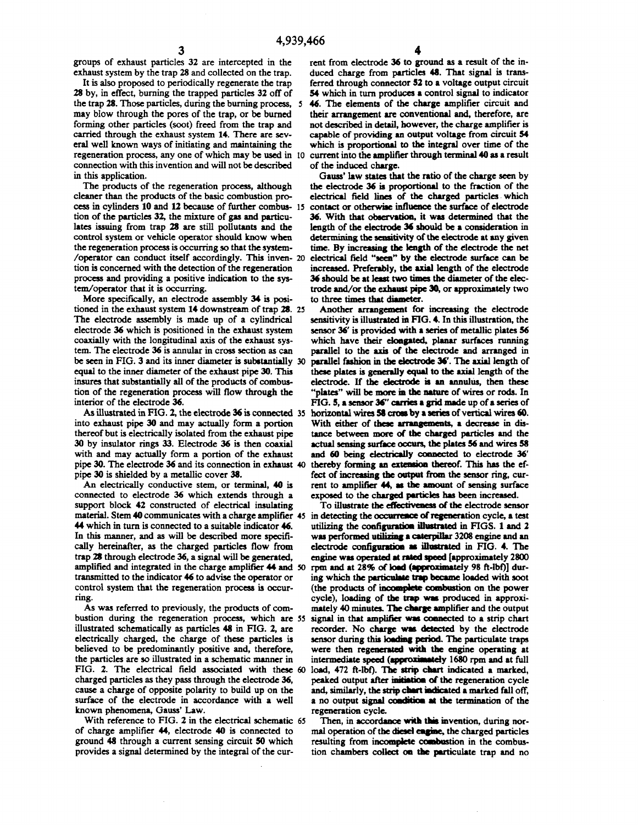groups of exhaust particles 32 are intercepted in the exhaust system by the trap 28 and collected on the trap.

It is also proposed to periodically regenerate the trap 28 by, in effect, burning the trapped particles 32 off of the trap 28. Those particles, during the burning process, 5 may blow through the pores of the trap, or be burned forming other particles (soot) freed from the trap and carried through the exhaust system 14. There are several well known ways of initiating and maintaining the regeneration process, any one of which may be used in 10 connection with this invention and will not be described in this application.

The products of the regeneration process, although cleaner than the products of the basic combustion process in cylinders 10 and 12 because of further combus-15 tion of the particles 32, the mixture of gas and particulates issuing from trap 28 are still pollutants and the control system or vehicle operator should know when the regeneration process is occurring so that the system- /operator can conduct itself accordingly. This inven-**20** tion is concerned with the detection of the regeneration process and providing a positive indication to the system/operator that it is occurring.

More specifically, an electrode assembly 34 is positioned in the exhaust system 14 downstream of trap 28. 25 The electrode assembly is made up of a cylindrical electrode 36 which is positioned in the exhaust system coaxially with the longitudinal axis of the exhaust system. The electrode 36 is annular in cross section as can be seen in FIG. 3 and its inner diameter is substantially 30 equal to the inner diameter of the exhaust pipe 30. This insures that substantially all of the products of combustion of the regeneration process will flow through the interior of the electrode 36.

As illustrated in FIG. 2, the electrode 36 is connected 35 into exhaust pipe 30 and may actually form a portion thereof but is electrically isolated from the exhaust pipe 30 by insulator rings 33. Electrode 36 is then coaxial with and may actually form a portion of the exhaust pipe 30. The electrode 36 and its connection in exhaust 40 pipe 30 is shielded by a metallic cover 38.

An electrically conductive stem, or terminal, 40 is connected to electrode 36 which extends through a support block 42 constructed of electrical insulating material. Stem 40 communicates with a charge amplifier 45 in detecting the occurrence of regeneration cycle, a test 44 which in turn is connected to a suitable indicator 46. In this manner, and as will be described more specifically hereinafter, as the charged particles flow from trap 28 through electrode 36, a signal will be generated, amplified and integrated in the charge amplifier 44 and 50 transmitted to the indicator 46 to advise the operator or control system that the regeneration process is occurring.

As was referred to previously, the products of combustion during the regeneration process, which are 55 illustrated schematically as particles 48 in FIG. 2, are electrically charged, the charge of these particles is believed to be predominantly positive and, therefore, the particles are so illustrated in a schematic manner in FIG. 2. The electrical field associated with these 60 charged particles as they pass through the electrode 36, cause a charge of opposite polarity to build up on the surface of the electrode in accordance with a well known phenomena, Gauss' Law.

With reference to FIG. 2 in the electrical schematic 65of charge amplifier 44, electrode 40 is connected to ground 48 through a current sensing circuit 50 which provides a signal determined by the integral of the cur-

rent from electrode 36 to ground as a result of the induced charge from particles 48. That signal is transferred through connector 52 to a voltage output circuit 54 which in turn produces a control signal to indicator 46. The elements of the charge amplifier circuit and their arrangement are conventional and, therefore, are not described in detail, however, the charge amplifier is capable of providing an output voltage from circuit 54 which is proportional to the integral over time of the current into the amplifier through terminal 40 as a result of the induced charge.

Gauss' law states that the ratio of the charge seen by the electrode 36 is proportional to the fraction of the electrical field lines of the charged particles which contact or otherwise influence the surface of electrode 36. With that observation, it was determined that the length of the electrode 36 should be a consideration in determining the sensitivity of the electrode at any given time. By increasing the length of the electrode the net electrical field "seen" by the electrode surface can be increased. Preferably, the axial length of the electrode 36 should be at least two times the diameter of the electrode and/or the exhaust pipe 30, or approximately two to three times that diameter.

Another arrangement for increasing the electrode sensitivity is illustrated in FIG. 4. In this illustration, the sensor 36' is provided with a series of metallic plates 56 which have their elongated, planar surfaces running parallel to the axis of the electrode and arranged in parallel fashion in the electrode 36'. The axial length of these plates is generally equal to the axial length of the electrode. If the electrode is an annulus, then these "plates" will be more in the nature of wires or rods. In FIG. 5, a sensor 36" carries a grid made up of a series of horizontal wires 58 cross by a series of vertical wires 60. With either of these arrangements, a decrease in distance between more of the charged particles and the actual sensing surface occurs, the plates 56 and wires 58 and 60 being electrically connected to electrode 36' thereby forming an extension thereof. This has the effect of increasing the output from the sensor ring, current to amplifier 44, as the amount of sensing surface exposed to the charged particles has been increased.

To illustrate the effectiveness of the electrode sensor utilizing the configuration illustrated in FIGS. 1 and 2 was performed utilizing a caterpillar 3208 engine and an electrode configuration as illustrated in FIG. 4. The engine was operated at rated speed [approximately 2800 rpm and at 28% of load (approximately 98 ft-lbf)] during which the particulate trap became loaded with soot (the products of incomplete combustion on the power cycle), loading of the trap was produced in approximately 40 minutes. The charge amplifier and the output signal in that amplifier was connected to a strip chart recorder. No charge was detected by the electrode sensor during this loading period. The particulate traps were then regenerated with the engine operating at intermediate speed (approximately 1680 rpm and at full load, 472 ft-lbf). The strip chart indicated a marked, peaked output after initiation of the regeneration cycle and, similarly, the strip chart indicated a marked fall off, a no output signal condition at the termination of the regeneration cycle.

Then, in accordance with this invention, during normal operation of the diesel engine, the charged particles resulting from incomplete combustion in the combustion chambers collect on the particulate trap and no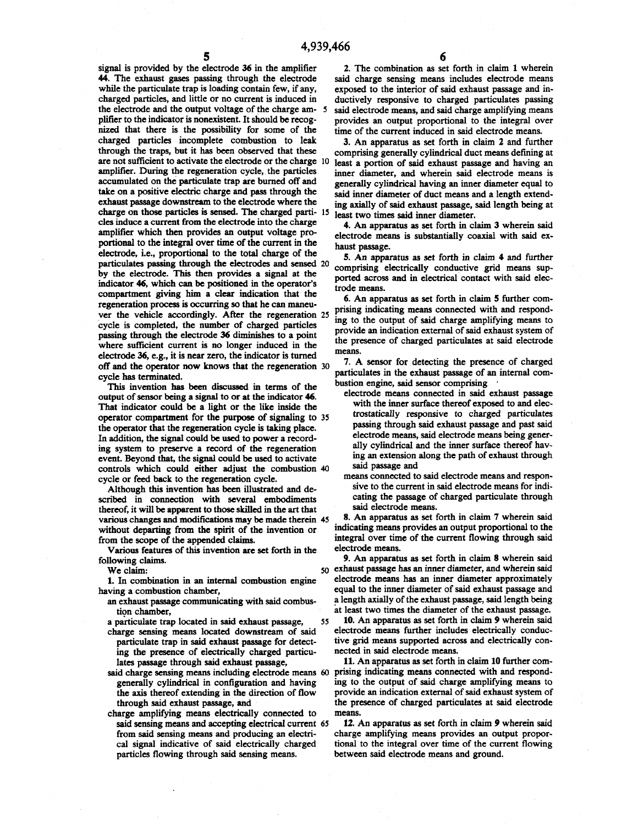55

**5**

signal is provided by the electrode 36 in the amplifier 44. The exhaust gases passing through the electrode while the particulate trap is loading contain few, if any, charged particles, and little or no current is induced in the electrode and the output voltage of the charge amplifier to the indicator is nonexistent. It should be recognized that there is the possibility for some of the charged particles incomplete combustion to leak through the traps, but it has been observed that these are not sufficient to activate the electrode or the charge 10 amplifier. During the regeneration cycle, the particles accumulated on the particulate trap are burned off and take on a positive electric charge and pass through the exhaust passage downstream to the electrode where the charge on those particles is sensed. The charged parti-15 cles induce a current from the electrode into the charge amplifier which then provides an output voltage proportional to the integral over time of the current in the electrode, i.e., proportional to the total charge of the particulates passing through the electrodes and sensed **20** by the electrode. This then provides a signal at the indicator 46, which can be positioned in the operator's compartment giving him a clear indication that the regeneration process is occurring so that he can maneuver the vehicle accordingly. After the regeneration 25 cycle is completed, the number of charged particles passing through the electrode 36 diminishes to a point where sufficient current is no longer induced in the electrode 36, e.g., it is near zero, the indicator is turned off and the operator now knows that the regeneration 30 cycle has terminated. 5

This invention has been discussed in terms of the output of sensor being a signal to or at the indicator 46. That indicator could be a light or the like inside the operator compartment for the purpose of signaling to 35 the operator that the regeneration cycle is taking place. In addition, the signal could be used to power a recording system to preserve a record of the regeneration event. Beyond that, the signal could be used to activate controls which could either adjust the combustion 40 cycle or feed back to the regeneration cycle.

Although this invention has been illustrated and described in connection with several embodiments thereof, it will be apparent to those skilled in the art that various changes and modifications may be made therein 45 without departing from the spirit of the invention or from the scope of the appended claims.

Various features of this invention are set forth in the following claims.

We claim:

1. In combination in an internal combustion engine having a combustion chamber,

an exhaust passage communicating with said combustion chamber,

a particulate trap located in said exhaust passage,

- charge sensing means located downstream of said particulate trap in said exhaust passage for detecting the presence of electrically charged particulates passage through said exhaust passage,
- said charge sensing means including electrode means 60 generally cylindrical in configuration and having the axis thereof extending in the direction of flow through said exhaust passage, and
- charge amplifying means electrically connected to said sensing means and accepting electrical current 65from said sensing means and producing an electrical signal indicative of said electrically charged particles flowing through said sensing means.

2. The combination as set forth in claim 1 wherein said charge sensing means includes electrode means exposed to the interior of said exhaust passage and inductively responsive to charged particulates passing said electrode means, and said charge amplifying means provides an output proportional to the integral over time of the current induced in said electrode means.

3. An apparatus as set forth in claim 2 and further comprising generally cylindrical duct means defining at least a portion of said exhaust passage and having an inner diameter, and wherein said electrode means is generally cylindrical having an inner diameter equal to said inner diameter of duct means and a length extending axially of said exhaust passage, said length being at least two times said inner diameter.

4. An apparatus as set forth in claim 3 wherein said electrode means is substantially coaxial with said exhaust passage.

5. An apparatus as set forth in claim 4 and further comprising electrically conductive grid means supported across and in electrical contact with said electrode means.

6. An apparatus as set forth in claim 5 further comprising indicating means connected with and responding to the output of said charge amplifying means to provide an indication external of said exhaust system of the presence of charged particulates at said electrode means.

7. A sensor for detecting the presence of charged particulates in the exhaust passage of an internal combustion engine, said sensor comprising '

- electrode means connected in said exhaust passage with the inner surface thereof exposed to and electrostatically responsive to charged particulates passing through said exhaust passage and past said electrode means, said electrode means being generally cylindrical and the inner surface thereof having an extension along the path of exhaust through said passage and
- means connected to said electrode means and responsive to the current in said electrode means for indicating the passage of charged particulate through said electrode means.

8. An apparatus as set forth in claim 7 wherein said indicating means provides an output proportional to the integral over time of the current flowing through said electrode means.

9. An apparatus as set forth in claim 8 wherein said 50 exhaust passage has an inner diameter, and wherein said electrode means has an inner diameter approximately equal to the inner diameter of said exhaust passage and a length axially of the exhaust passage, said length being at least two times the diameter of the exhaust passage.

10. An apparatus as set forth in claim 9 wherein said electrode means further includes electrically conductive grid means supported across and electrically connected in said electrode means.

11. An apparatus as set forth in claim 10 further comprising indicating means connected with and responding to the output of said charge amplifying means to provide an indication external of said exhaust system of the presence of charged particulates at said electrode means.

12. An apparatus as set forth in claim 9 wherein said charge amplifying means provides an output proportional to the integral over time of the current flowing between said electrode means and ground.